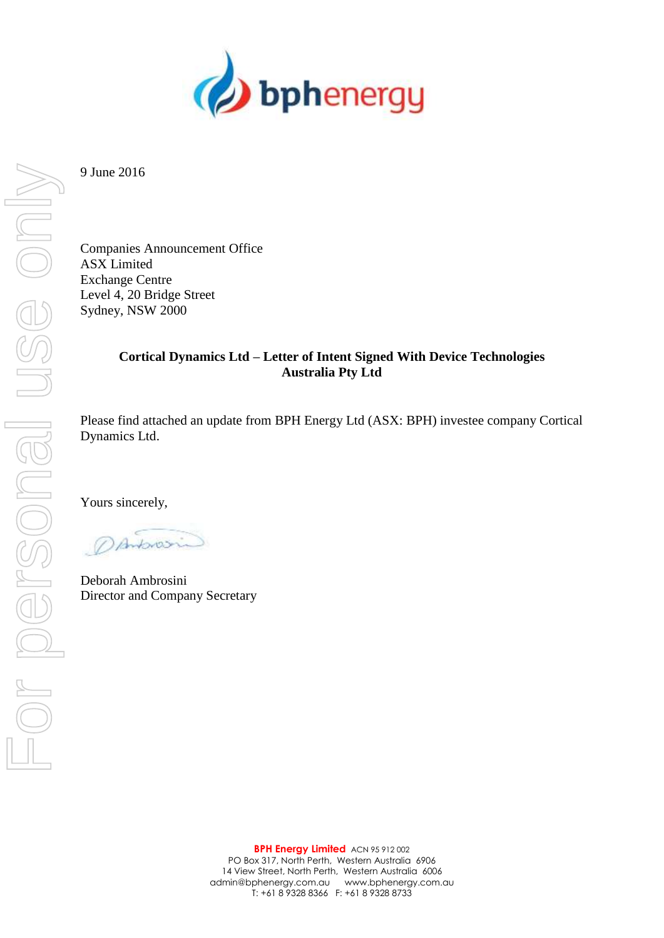

9 June 2016

Companies Announcement Office ASX Limited Exchange Centre Level 4, 20 Bridge Street Sydney, NSW 2000

# **Cortical Dynamics Ltd – Letter of Intent Signed With Device Technologies Australia Pty Ltd**

Please find attached an update from BPH Energy Ltd (ASX: BPH) investee company Cortical Dynamics Ltd.

Yours sincerely,

DAMONSin

Deborah Ambrosini Director and Company Secretary

JSE ONN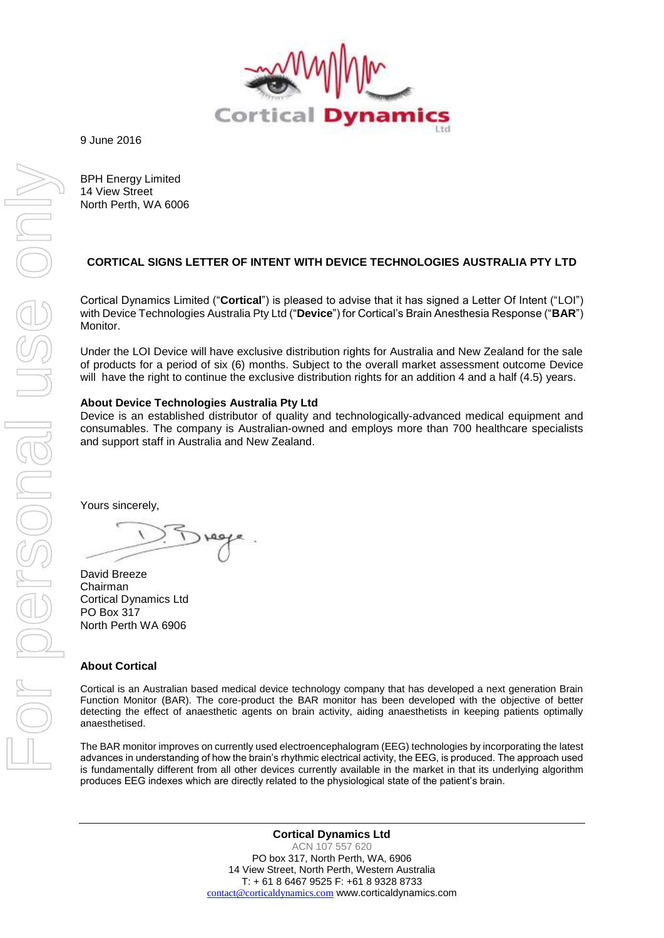

9 June 2016

BPH Energy Limited 14 View Street North Perth, WA 6006

# **CORTICAL SIGNS LETTER OF INTENT WITH DEVICE TECHNOLOGIES AUSTRALIA PTY LTD**

Cortical Dynamics Limited ("**Cortical**") is pleased to advise that it has signed a Letter Of Intent ("LOI") with Device Technologies Australia Pty Ltd ("**Device**") for Cortical's Brain Anesthesia Response ("**BAR**") Monitor.

Under the LOI Device will have exclusive distribution rights for Australia and New Zealand for the sale of products for a period of six (6) months. Subject to the overall market assessment outcome Device will have the right to continue the exclusive distribution rights for an addition 4 and a half (4.5) years.

### **About Device Technologies Australia Pty Ltd**

Device is an established distributor of quality and technologically-advanced medical equipment and consumables. The company is Australian-owned and employs more than 700 healthcare specialists and support staff in Australia and New Zealand.

Yours sincerely,

David Breeze Chairman Cortical Dynamics Ltd PO Box 317 North Perth WA 6906

### **About Cortical**

Cortical is an Australian based medical device technology company that has developed a next generation Brain Function Monitor (BAR). The core-product the BAR monitor has been developed with the objective of better detecting the effect of anaesthetic agents on brain activity, aiding anaesthetists in keeping patients optimally anaesthetised.

The BAR monitor improves on currently used electroencephalogram (EEG) technologies by incorporating the latest advances in understanding of how the brain's rhythmic electrical activity, the EEG, is produced. The approach used is fundamentally different from all other devices currently available in the market in that its underlying algorithm produces EEG indexes which are directly related to the physiological state of the patient's brain.

> **Cortical Dynamics Ltd** ACN 107 557 620 PO box 317, North Perth, WA, 6906 14 View Street, North Perth, Western Australia T: + 61 8 6467 9525 F: +61 8 9328 8733 [contact@corticaldynamics.com](mailto:contact@corticaldynamics.com) www.corticaldynamics.com

For personal use only IBENSONS